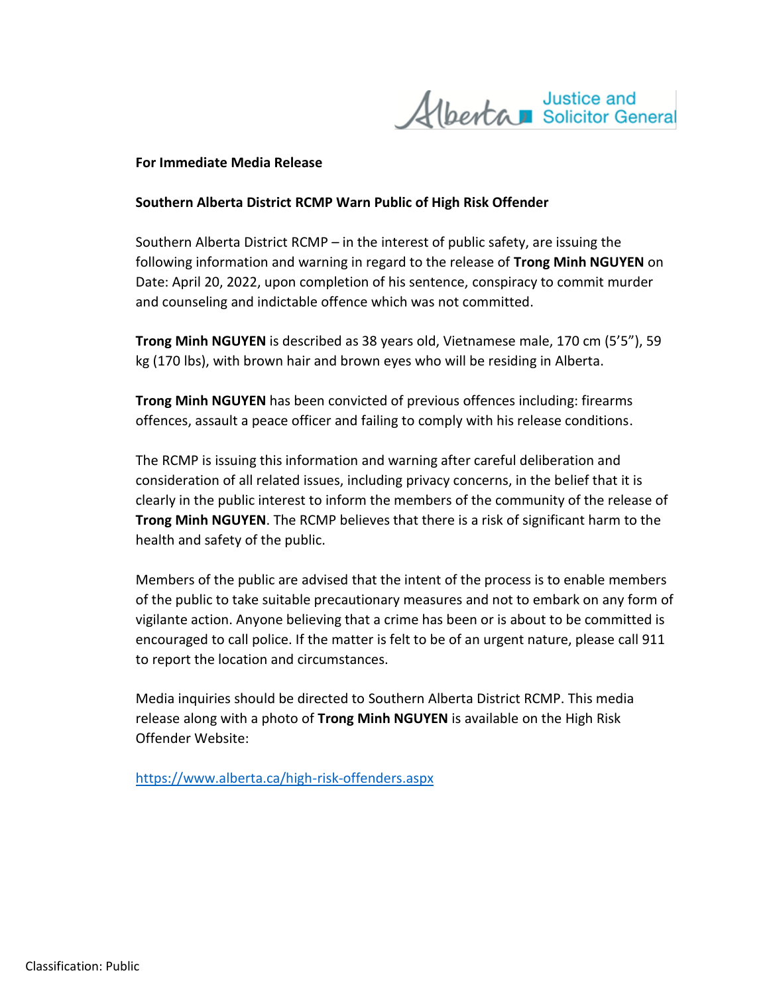Justice and<br>Albertan Solicitor General

## **For Immediate Media Release**

## **Southern Alberta District RCMP Warn Public of High Risk Offender**

Southern Alberta District RCMP – in the interest of public safety, are issuing the following information and warning in regard to the release of **Trong Minh NGUYEN** on Date: April 20, 2022, upon completion of his sentence, conspiracy to commit murder and counseling and indictable offence which was not committed.

**Trong Minh NGUYEN** is described as 38 years old, Vietnamese male, 170 cm (5'5"), 59 kg (170 lbs), with brown hair and brown eyes who will be residing in Alberta.

**Trong Minh NGUYEN** has been convicted of previous offences including: firearms offences, assault a peace officer and failing to comply with his release conditions.

The RCMP is issuing this information and warning after careful deliberation and consideration of all related issues, including privacy concerns, in the belief that it is clearly in the public interest to inform the members of the community of the release of **Trong Minh NGUYEN**. The RCMP believes that there is a risk of significant harm to the health and safety of the public.

Members of the public are advised that the intent of the process is to enable members of the public to take suitable precautionary measures and not to embark on any form of vigilante action. Anyone believing that a crime has been or is about to be committed is encouraged to call police. If the matter is felt to be of an urgent nature, please call 911 to report the location and circumstances.

Media inquiries should be directed to Southern Alberta District RCMP. This media release along with a photo of **Trong Minh NGUYEN** is available on the High Risk Offender Website:

<https://www.alberta.ca/high-risk-offenders.aspx>